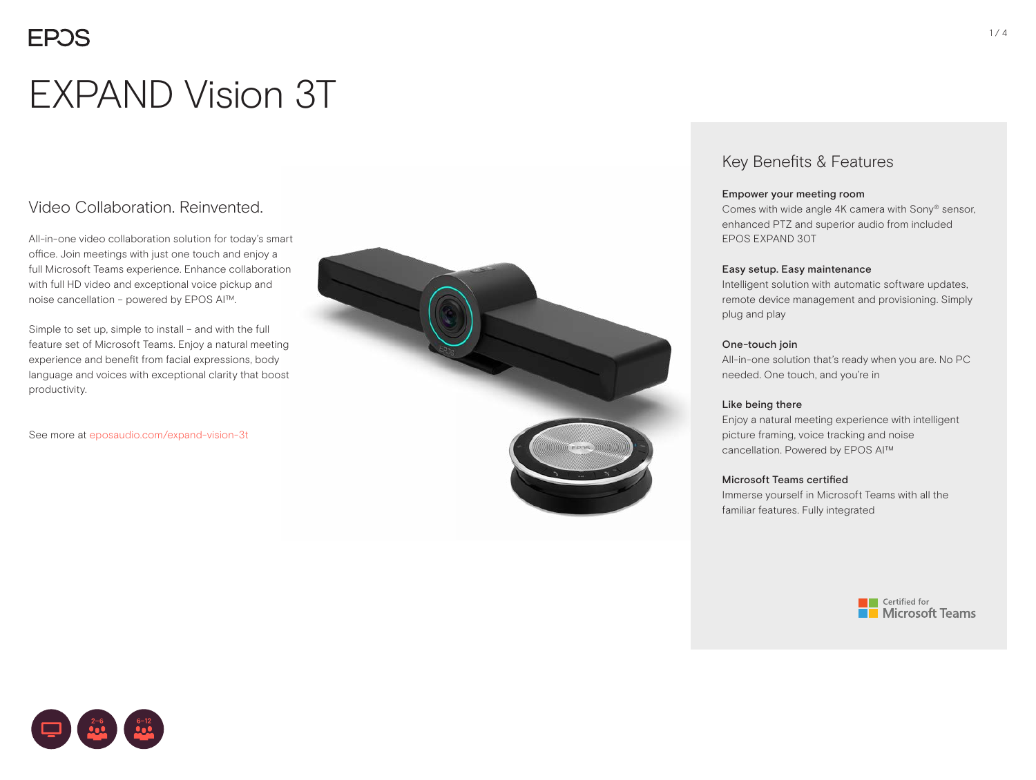# EXPAND Vision 3T

### Video Collaboration. Reinvented.

All-in-one video collaboration solution for today's smart office. Join meetings with just one touch and enjoy a full Microsoft Teams experience. Enhance collaboration with full HD video and exceptional voice pickup and noise cancellation – powered by EPOS AI™.

Simple to set up, simple to install – and with the full feature set of Microsoft Teams. Enjoy a natural meeting experience and benefit from facial expressions, body language and voices with exceptional clarity that boost productivity.

See more at [eposaudio.com/e](http://www.eposaudio.com/expand-vision-3t)xpand-vision-3t



### Key Benefits & Features

#### Empower your meeting room

Comes with wide angle 4K camera with Sony® sensor, enhanced PTZ and superior audio from included EPOS EXPAND 30T

#### Easy setup. Easy maintenance

Intelligent solution with automatic software updates, remote device management and provisioning. Simply plug and play

#### One-touch join

All-in-one solution that's ready when you are. No PC needed. One touch, and you're in

### Like being there

Enjoy a natural meeting experience with intelligent picture framing, voice tracking and noise cancellation. Powered by EPOS AI™

### Microsoft Teams certified

Immerse yourself in Microsoft Teams with all the familiar features. Fully integrated



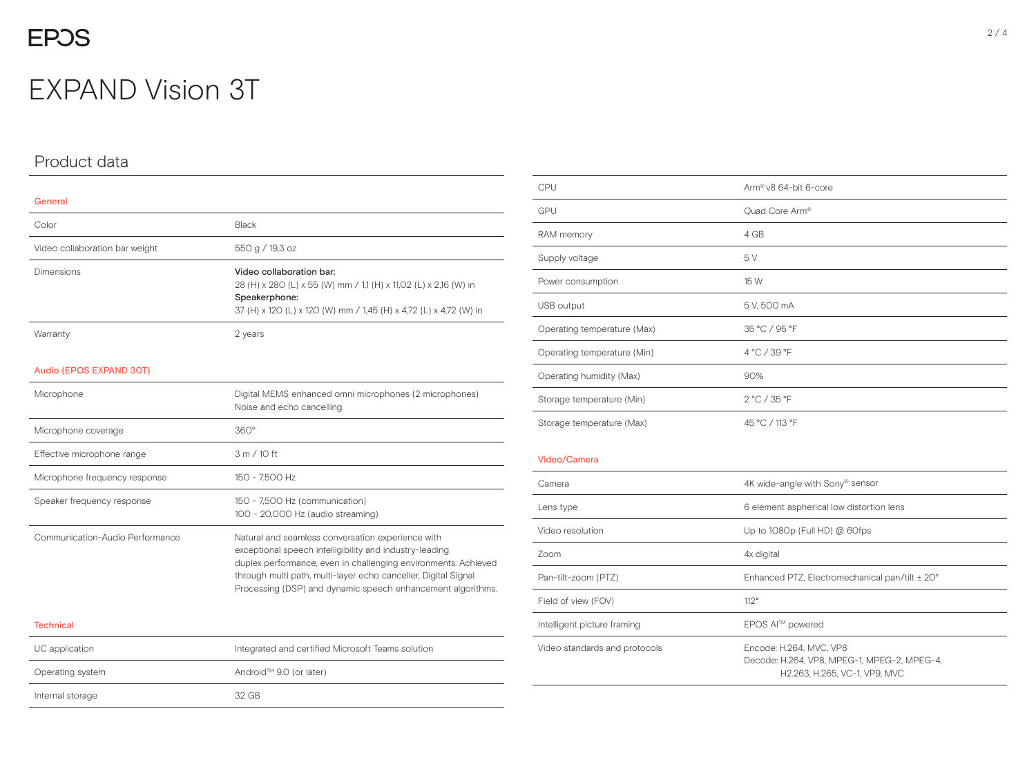## **EPOS**

## EXPAND Vision 3T

### Product data

| General                         |                                                                                                                                                                                                                                                                                                                 |
|---------------------------------|-----------------------------------------------------------------------------------------------------------------------------------------------------------------------------------------------------------------------------------------------------------------------------------------------------------------|
| Color                           | Black                                                                                                                                                                                                                                                                                                           |
| Video collaboration bar weight  | 550 g / 19,3 oz                                                                                                                                                                                                                                                                                                 |
| Dimensions                      | Video collaboration bar:<br>28 (H) x 280 (L) x 55 (W) mm / 1,1 (H) x 11,02 (L) x 2,16 (W) in<br>Speakerphone:<br>37 (H) x 12O (L) x 12O (W) mm / 1,45 (H) x 4,72 (L) x 4,72 (W) in                                                                                                                              |
| Warranty                        | 2 years                                                                                                                                                                                                                                                                                                         |
| Audio (EPOS EXPAND 30T)         |                                                                                                                                                                                                                                                                                                                 |
| Microphone                      | Digital MEMS enhanced omni microphones (2 microphones)<br>Noise and echo cancelling                                                                                                                                                                                                                             |
| Microphone coverage             | $360^\circ$                                                                                                                                                                                                                                                                                                     |
| Effective microphone range      | 3 m / 10 ft                                                                                                                                                                                                                                                                                                     |
| Microphone frequency response   | 150 - 7.500 Hz                                                                                                                                                                                                                                                                                                  |
| Speaker frequency response      | 150 - 7,500 Hz (communication)<br>100 - 20,000 Hz (audio streaming)                                                                                                                                                                                                                                             |
| Communication-Audio Performance | Natural and seamless conversation experience with<br>exceptional speech intelligibility and industry-leading<br>duplex performance, even in challenging environments. Achieved<br>through multi path, multi-layer echo canceller, Digital Signal<br>Processing (DSP) and dynamic speech enhancement algorithms. |
| <b>Technical</b>                |                                                                                                                                                                                                                                                                                                                 |

| UC application   | Integrated and certified Microsoft Teams solution |
|------------------|---------------------------------------------------|
| Operating system | Android™ 9.0 (or later)                           |
| Internal storage | 32 GB                                             |

| CPU                           | Arm® v8 64-bit 6-core                                                  |
|-------------------------------|------------------------------------------------------------------------|
| GPU                           | Quad Core Arm®                                                         |
| RAM memory                    | 4 GB                                                                   |
| Supply voltage                | 5V                                                                     |
| Power consumption             | 15 W                                                                   |
| USB output                    | 5 V, 500 mA                                                            |
| Operating temperature (Max)   | 35 °C / 95 °F                                                          |
| Operating temperature (Min)   | 4 °C / 39 °F                                                           |
| Operating humidity (Max)      | 90%                                                                    |
| Storage temperature (Min)     | 2 °C / 35 °F                                                           |
| Storage temperature (Max)     | 45 °C / 113 °F                                                         |
| Video/Camera                  |                                                                        |
| Camera                        | 4K wide-angle with Sony® sensor                                        |
| Lens type                     | 6 element aspherical low distortion lens                               |
| Video resolution              | Up to 1080p (Full HD) @ 60fps                                          |
| Zoom                          | 4x digital                                                             |
| Pan-tilt-zoom (PTZ)           | Enhanced PTZ, Electromechanical pan/tilt ± 20°                         |
| Field of view (FOV)           | 112°                                                                   |
| Intelligent picture framing   | EPOS AI™ powered                                                       |
| Video standards and protocols | Encode: H.264, MVC, VP8<br>Decode: H.264, VP8, MPEG-1, MPEG-2, MPEG-4, |

H2.263, H.265, VC-1, VP9, MVC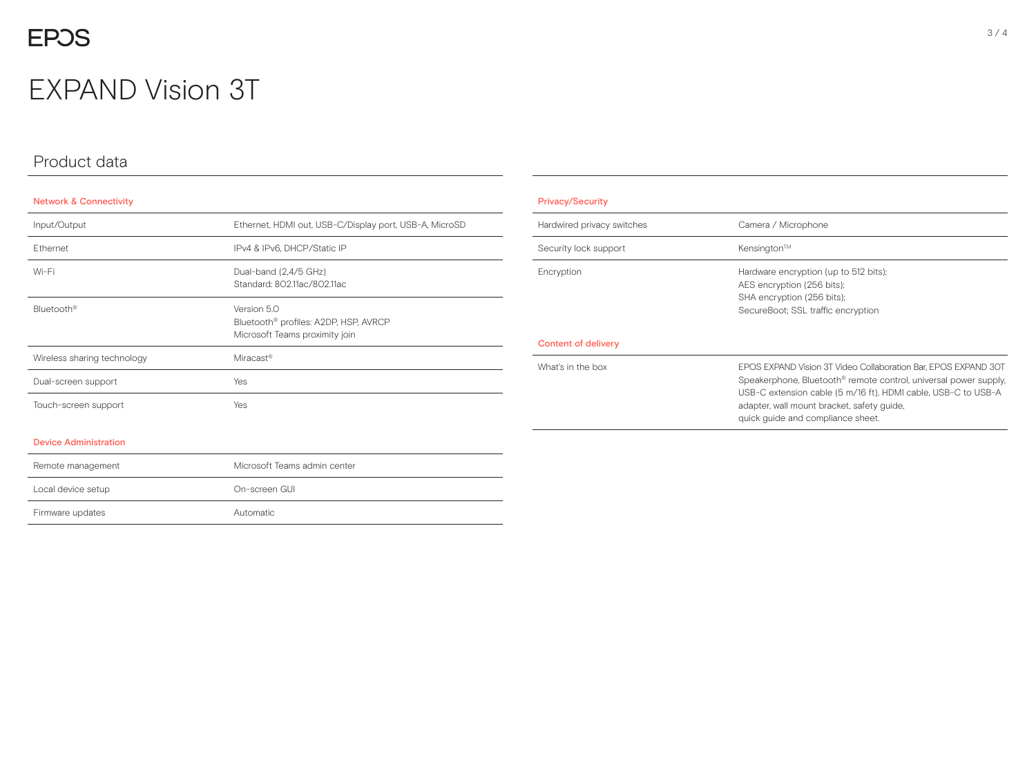## EXPAND Vision 3T

### Product data

### Network & Connectivity

Remote management Local device setup

Firmware updates **Automatic** 

| Input/Output                 | Ethernet, HDMI out, USB-C/Display port, USB-A, MicroSD                                             |
|------------------------------|----------------------------------------------------------------------------------------------------|
| Ethernet                     | IPv4 & IPv6, DHCP/Static IP                                                                        |
| Wi-Fi                        | Dual-band (2,4/5 GHz)<br>Standard: 802.11ac/802.11ac                                               |
| Bluetooth <sup>®</sup>       | Version 5.0<br>Bluetooth <sup>®</sup> profiles: A2DP, HSP, AVRCP<br>Microsoft Teams proximity join |
| Wireless sharing technology  | Miracast <sup>®</sup>                                                                              |
| Dual-screen support          | Yes                                                                                                |
| Touch-screen support         | Yes                                                                                                |
| <b>Device Administration</b> |                                                                                                    |

| 162                          |  |  |
|------------------------------|--|--|
| Yes                          |  |  |
|                              |  |  |
|                              |  |  |
| Microsoft Teams admin center |  |  |
| On-screen GUI                |  |  |

| <b>Privacy/Security</b>    |                                                                                                                                                                                                                                                                                                    |
|----------------------------|----------------------------------------------------------------------------------------------------------------------------------------------------------------------------------------------------------------------------------------------------------------------------------------------------|
| Hardwired privacy switches | Camera / Microphone                                                                                                                                                                                                                                                                                |
| Security lock support      | Kensington™                                                                                                                                                                                                                                                                                        |
| Encryption                 | Hardware encryption (up to 512 bits);<br>AES encryption (256 bits);<br>SHA encryption (256 bits);<br>SecureBoot: SSL traffic encryption                                                                                                                                                            |
| Content of delivery        |                                                                                                                                                                                                                                                                                                    |
| What's in the box          | EPOS EXPAND Vision 3T Video Collaboration Bar, EPOS EXPAND 30T<br>Speakerphone, Bluetooth <sup>®</sup> remote control, universal power supply.<br>USB-C extension cable (5 m/16 ft), HDMI cable, USB-C to USB-A<br>adapter, wall mount bracket, safety guide,<br>quick guide and compliance sheet. |

### 3 / 4